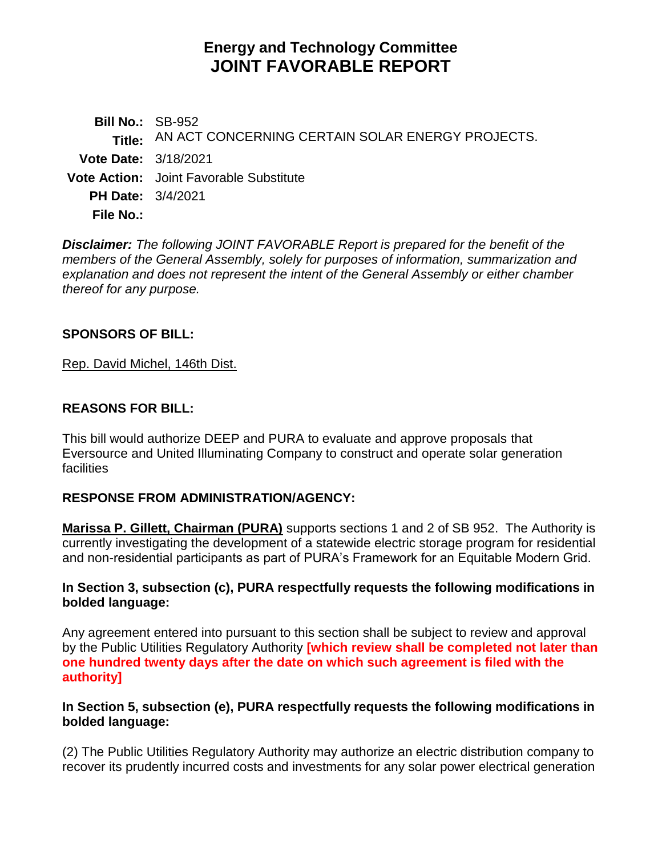# **Energy and Technology Committee JOINT FAVORABLE REPORT**

**Bill No.:** SB-952 **Title:** AN ACT CONCERNING CERTAIN SOLAR ENERGY PROJECTS. **Vote Date:** 3/18/2021 **Vote Action:** Joint Favorable Substitute **PH Date:** 3/4/2021 **File No.:**

*Disclaimer: The following JOINT FAVORABLE Report is prepared for the benefit of the members of the General Assembly, solely for purposes of information, summarization and explanation and does not represent the intent of the General Assembly or either chamber thereof for any purpose.*

### **SPONSORS OF BILL:**

[Rep. David Michel, 146th Dist.](http://cgalites/asp/CGABillStatus/CGAMemberBills.asp?dist_code=%27146%27)

### **REASONS FOR BILL:**

This bill would authorize DEEP and PURA to evaluate and approve proposals that Eversource and United Illuminating Company to construct and operate solar generation facilities

### **RESPONSE FROM ADMINISTRATION/AGENCY:**

**Marissa P. Gillett, Chairman (PURA)** supports sections 1 and 2 of SB 952. The Authority is currently investigating the development of a statewide electric storage program for residential and non-residential participants as part of PURA's Framework for an Equitable Modern Grid.

### **In Section 3, subsection (c), PURA respectfully requests the following modifications in bolded language:**

Any agreement entered into pursuant to this section shall be subject to review and approval by the Public Utilities Regulatory Authority **[which review shall be completed not later than one hundred twenty days after the date on which such agreement is filed with the authority]**

### **In Section 5, subsection (e), PURA respectfully requests the following modifications in bolded language:**

(2) The Public Utilities Regulatory Authority may authorize an electric distribution company to recover its prudently incurred costs and investments for any solar power electrical generation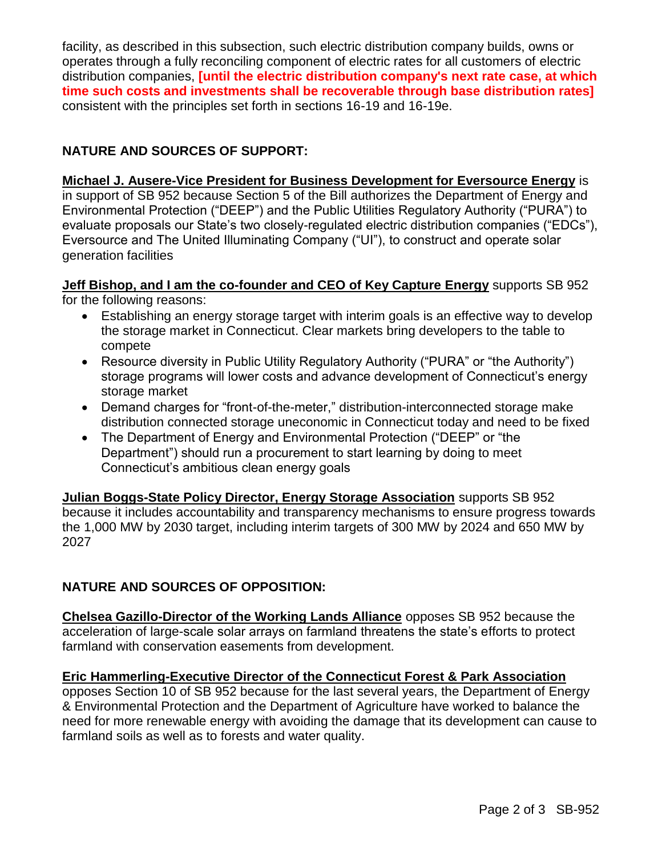facility, as described in this subsection, such electric distribution company builds, owns or operates through a fully reconciling component of electric rates for all customers of electric distribution companies, **[until the electric distribution company's next rate case, at which time such costs and investments shall be recoverable through base distribution rates]** consistent with the principles set forth in sections 16-19 and 16-19e.

# **NATURE AND SOURCES OF SUPPORT:**

# **Michael J. Ausere-Vice President for Business Development for Eversource Energy** is

in support of SB 952 because Section 5 of the Bill authorizes the Department of Energy and Environmental Protection ("DEEP") and the Public Utilities Regulatory Authority ("PURA") to evaluate proposals our State's two closely-regulated electric distribution companies ("EDCs"), Eversource and The United Illuminating Company ("UI"), to construct and operate solar generation facilities

#### **Jeff Bishop, and I am the co-founder and CEO of Key Capture Energy** supports SB 952 for the following reasons:

- Establishing an energy storage target with interim goals is an effective way to develop the storage market in Connecticut. Clear markets bring developers to the table to compete
- Resource diversity in Public Utility Regulatory Authority ("PURA" or "the Authority") storage programs will lower costs and advance development of Connecticut's energy storage market
- Demand charges for "front-of-the-meter," distribution-interconnected storage make distribution connected storage uneconomic in Connecticut today and need to be fixed
- The Department of Energy and Environmental Protection ("DEEP" or "the Department") should run a procurement to start learning by doing to meet Connecticut's ambitious clean energy goals

**Julian Boggs-State Policy Director, Energy Storage Association** supports SB 952 because it includes accountability and transparency mechanisms to ensure progress towards the 1,000 MW by 2030 target, including interim targets of 300 MW by 2024 and 650 MW by 2027

# **NATURE AND SOURCES OF OPPOSITION:**

**Chelsea Gazillo-Director of the Working Lands Alliance** opposes SB 952 because the acceleration of large-scale solar arrays on farmland threatens the state's efforts to protect farmland with conservation easements from development.

# **Eric Hammerling-Executive Director of the Connecticut Forest & Park Association**

opposes Section 10 of SB 952 because for the last several years, the Department of Energy & Environmental Protection and the Department of Agriculture have worked to balance the need for more renewable energy with avoiding the damage that its development can cause to farmland soils as well as to forests and water quality.